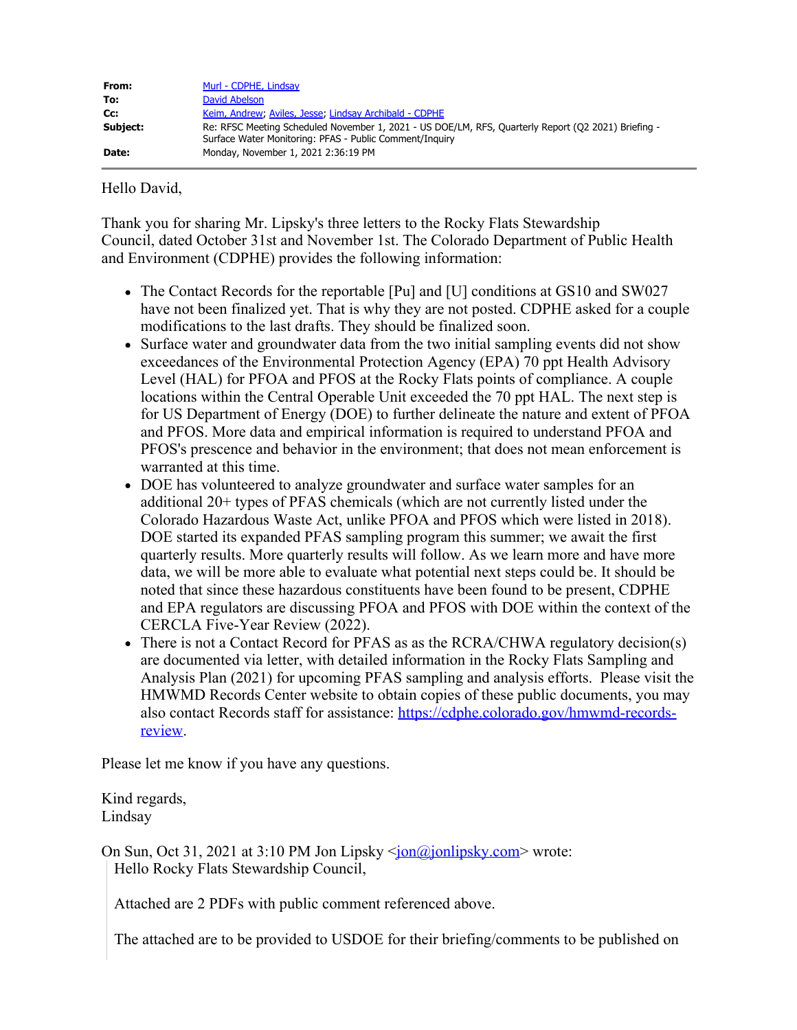| From:    | Murl - CDPHE, Lindsay                                                                                                                                          |
|----------|----------------------------------------------------------------------------------------------------------------------------------------------------------------|
| To:      | David Abelson                                                                                                                                                  |
| Cc:      | Keim, Andrew, Aviles, Jesse, Lindsay Archibald - CDPHE                                                                                                         |
| Subject: | Re: RFSC Meeting Scheduled November 1, 2021 - US DOE/LM, RFS, Quarterly Report (Q2 2021) Briefing -<br>Surface Water Monitoring: PFAS - Public Comment/Inquiry |
| Date:    | Monday, November 1, 2021 2:36:19 PM                                                                                                                            |

Hello David,

Thank you for sharing Mr. Lipsky's three letters to the Rocky Flats Stewardship Council, dated October 31st and November 1st. The Colorado Department of Public Health and Environment (CDPHE) provides the following information:

- The Contact Records for the reportable [Pu] and [U] conditions at GS10 and SW027 have not been finalized yet. That is why they are not posted. CDPHE asked for a couple modifications to the last drafts. They should be finalized soon.
- Surface water and groundwater data from the two initial sampling events did not show exceedances of the Environmental Protection Agency (EPA) 70 ppt Health Advisory Level (HAL) for PFOA and PFOS at the Rocky Flats points of compliance. A couple locations within the Central Operable Unit exceeded the 70 ppt HAL. The next step is for US Department of Energy (DOE) to further delineate the nature and extent of PFOA and PFOS. More data and empirical information is required to understand PFOA and PFOS's prescence and behavior in the environment; that does not mean enforcement is warranted at this time.
- DOE has volunteered to analyze groundwater and surface water samples for an additional 20+ types of PFAS chemicals (which are not currently listed under the Colorado Hazardous Waste Act, unlike PFOA and PFOS which were listed in 2018). DOE started its expanded PFAS sampling program this summer; we await the first quarterly results. More quarterly results will follow. As we learn more and have more data, we will be more able to evaluate what potential next steps could be. It should be noted that since these hazardous constituents have been found to be present, CDPHE and EPA regulators are discussing PFOA and PFOS with DOE within the context of the CERCLA Five-Year Review (2022).
- There is not a Contact Record for PFAS as as the RCRA/CHWA regulatory decision(s) are documented via letter, with detailed information in the Rocky Flats Sampling and Analysis Plan (2021) for upcoming PFAS sampling and analysis efforts. Please visit the HMWMD Records Center website to obtain copies of these public documents, you may also contact Records staff for assistance: [https://cdphe.colorado.gov/hmwmd-records](https://cdphe.colorado.gov/hmwmd-records-review)[review](https://cdphe.colorado.gov/hmwmd-records-review).

Please let me know if you have any questions.

Kind regards, Lindsay

On Sun, Oct 31, 2021 at 3:10 PM Jon Lipsky <*jon@jonlipsky.com*> wrote: Hello Rocky Flats Stewardship Council,

Attached are 2 PDFs with public comment referenced above.

The attached are to be provided to USDOE for their briefing/comments to be published on